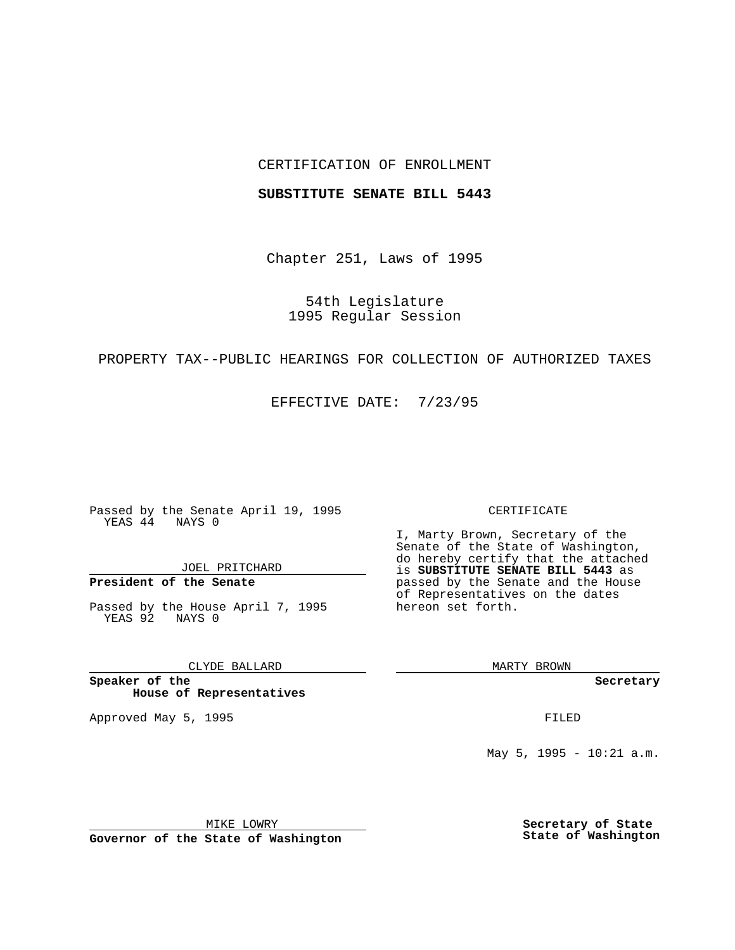## CERTIFICATION OF ENROLLMENT

## **SUBSTITUTE SENATE BILL 5443**

Chapter 251, Laws of 1995

54th Legislature 1995 Regular Session

# PROPERTY TAX--PUBLIC HEARINGS FOR COLLECTION OF AUTHORIZED TAXES

EFFECTIVE DATE: 7/23/95

Passed by the Senate April 19, 1995 YEAS 44 NAYS 0

JOEL PRITCHARD

# **President of the Senate**

Passed by the House April 7, 1995 YEAS 92 NAYS 0

CLYDE BALLARD

**Speaker of the House of Representatives**

Approved May 5, 1995 **FILED** 

#### CERTIFICATE

I, Marty Brown, Secretary of the Senate of the State of Washington, do hereby certify that the attached is **SUBSTITUTE SENATE BILL 5443** as passed by the Senate and the House of Representatives on the dates hereon set forth.

MARTY BROWN

**Secretary**

May 5, 1995 - 10:21 a.m.

MIKE LOWRY

**Governor of the State of Washington**

**Secretary of State State of Washington**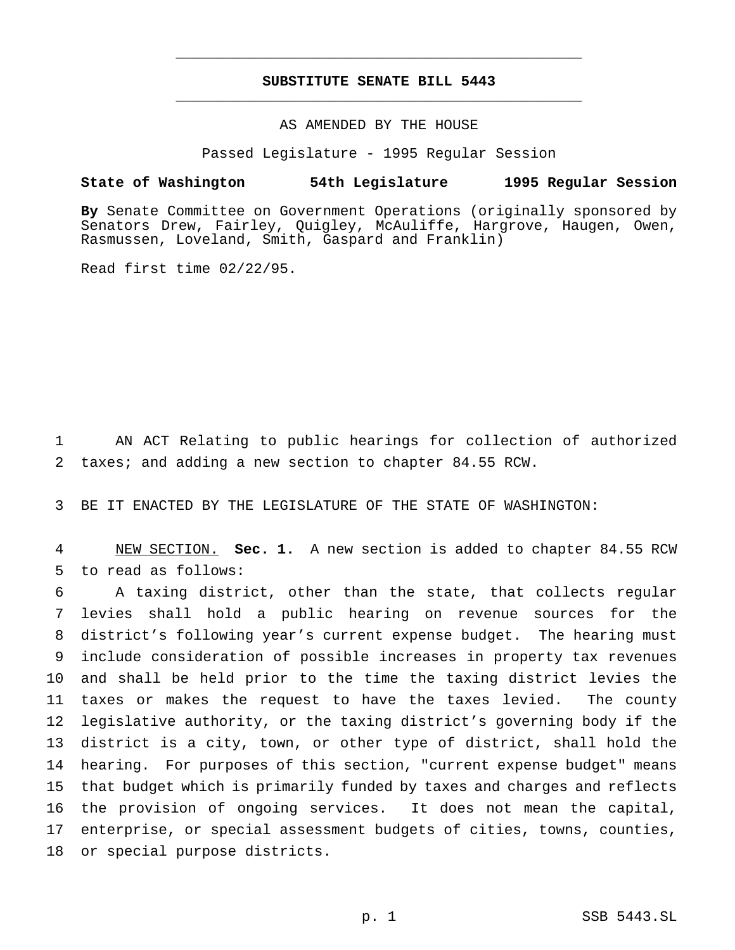## **SUBSTITUTE SENATE BILL 5443** \_\_\_\_\_\_\_\_\_\_\_\_\_\_\_\_\_\_\_\_\_\_\_\_\_\_\_\_\_\_\_\_\_\_\_\_\_\_\_\_\_\_\_\_\_\_\_

\_\_\_\_\_\_\_\_\_\_\_\_\_\_\_\_\_\_\_\_\_\_\_\_\_\_\_\_\_\_\_\_\_\_\_\_\_\_\_\_\_\_\_\_\_\_\_

## AS AMENDED BY THE HOUSE

Passed Legislature - 1995 Regular Session

### **State of Washington 54th Legislature 1995 Regular Session**

**By** Senate Committee on Government Operations (originally sponsored by Senators Drew, Fairley, Quigley, McAuliffe, Hargrove, Haugen, Owen, Rasmussen, Loveland, Smith, Gaspard and Franklin)

Read first time 02/22/95.

 AN ACT Relating to public hearings for collection of authorized taxes; and adding a new section to chapter 84.55 RCW.

BE IT ENACTED BY THE LEGISLATURE OF THE STATE OF WASHINGTON:

 NEW SECTION. **Sec. 1.** A new section is added to chapter 84.55 RCW to read as follows:

 A taxing district, other than the state, that collects regular levies shall hold a public hearing on revenue sources for the district's following year's current expense budget. The hearing must include consideration of possible increases in property tax revenues and shall be held prior to the time the taxing district levies the taxes or makes the request to have the taxes levied. The county legislative authority, or the taxing district's governing body if the district is a city, town, or other type of district, shall hold the hearing. For purposes of this section, "current expense budget" means that budget which is primarily funded by taxes and charges and reflects the provision of ongoing services. It does not mean the capital, enterprise, or special assessment budgets of cities, towns, counties, or special purpose districts.